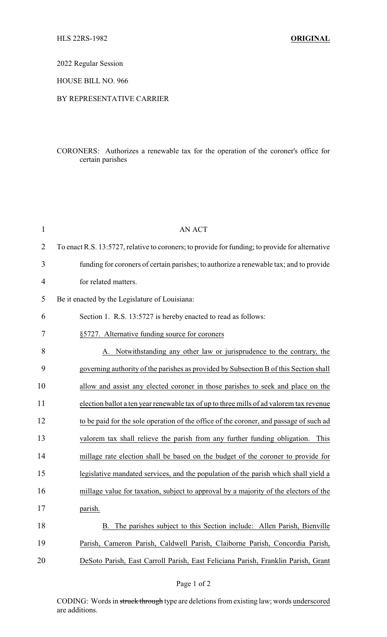2022 Regular Session

HOUSE BILL NO. 966

## BY REPRESENTATIVE CARRIER

## CORONERS: Authorizes a renewable tax for the operation of the coroner's office for certain parishes

| $\mathbf{1}$   | <b>AN ACT</b>                                                                                   |
|----------------|-------------------------------------------------------------------------------------------------|
| $\overline{2}$ | To enact R.S. 13:5727, relative to coroners; to provide for funding; to provide for alternative |
| 3              | funding for coroners of certain parishes; to authorize a renewable tax; and to provide          |
| $\overline{4}$ | for related matters.                                                                            |
| 5              | Be it enacted by the Legislature of Louisiana:                                                  |
| 6              | Section 1. R.S. 13:5727 is hereby enacted to read as follows:                                   |
| 7              | §5727. Alternative funding source for coroners                                                  |
| 8              | A. Notwithstanding any other law or jurisprudence to the contrary, the                          |
| 9              | governing authority of the parishes as provided by Subsection B of this Section shall           |
| 10             | allow and assist any elected coroner in those parishes to seek and place on the                 |
| 11             | election ballot a ten year renewable tax of up to three mills of ad valorem tax revenue         |
| 12             | to be paid for the sole operation of the office of the coroner, and passage of such ad          |
| 13             | valorem tax shall relieve the parish from any further funding obligation.<br>This               |
| 14             | millage rate election shall be based on the budget of the coroner to provide for                |
| 15             | legislative mandated services, and the population of the parish which shall yield a             |
| 16             | millage value for taxation, subject to approval by a majority of the electors of the            |
| 17             | parish.                                                                                         |
| 18             | The parishes subject to this Section include: Allen Parish, Bienville<br>B.                     |
| 19             | Parish, Cameron Parish, Caldwell Parish, Claiborne Parish, Concordia Parish,                    |
| 20             | DeSoto Parish, East Carroll Parish, East Feliciana Parish, Franklin Parish, Grant               |

CODING: Words in struck through type are deletions from existing law; words underscored are additions.